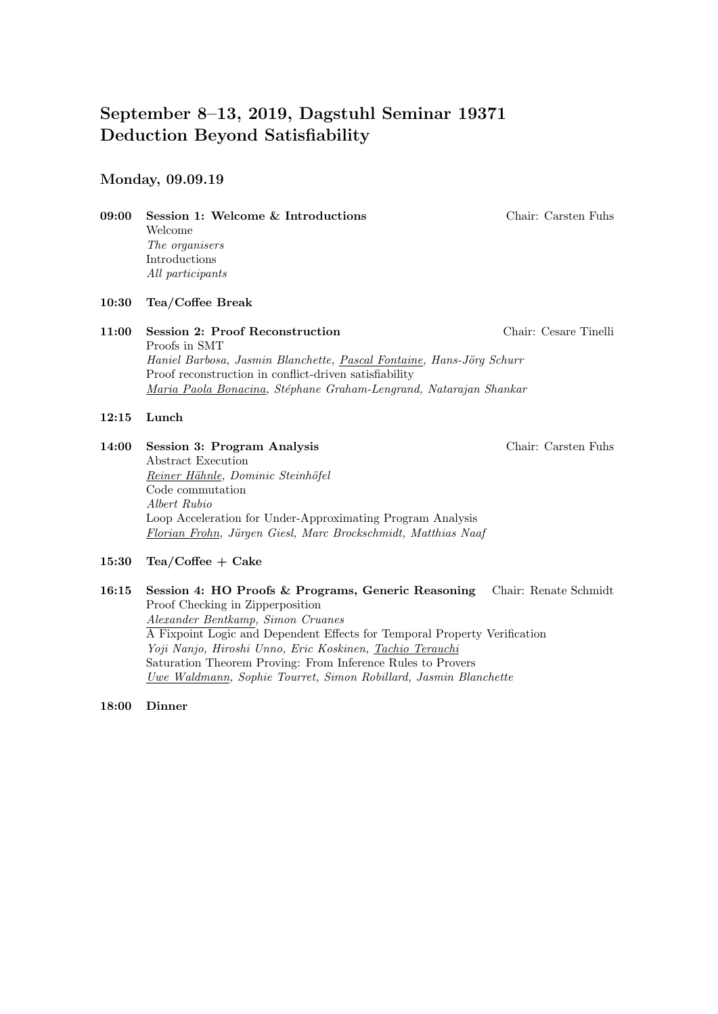# September 8–13, 2019, Dagstuhl Seminar 19371 Deduction Beyond Satisfiability

## Monday, 09.09.19

09:00 Session 1: Welcome & Introductions Chair: Carsten Fuhs Welcome The organisers Introductions All participants

## 10:30 Tea/Coffee Break

11:00 Session 2: Proof Reconstruction Chair: Cesare Tinelli Proofs in SMT Haniel Barbosa, Jasmin Blanchette, Pascal Fontaine, Hans-Jörg Schurr Proof reconstruction in conflict-driven satisfiability Maria Paola Bonacina, Stéphane Graham-Lengrand, Natarajan Shankar

## 12:15 Lunch

- 14:00 Session 3: Program Analysis Chair: Carsten Fuhs Abstract Execution Reiner Hähnle, Dominic Steinhöfel Code commutation Albert Rubio Loop Acceleration for Under-Approximating Program Analysis Florian Frohn, Jürgen Giesl, Marc Brockschmidt, Matthias Naaf
- 15:30 Tea/Coffee + Cake
- 16:15 Session 4: HO Proofs & Programs, Generic Reasoning Chair: Renate Schmidt Proof Checking in Zipperposition Alexander Bentkamp, Simon Cruanes A Fixpoint Logic and Dependent Effects for Temporal Property Verification Yoji Nanjo, Hiroshi Unno, Eric Koskinen, Tachio Terauchi Saturation Theorem Proving: From Inference Rules to Provers Uwe Waldmann, Sophie Tourret, Simon Robillard, Jasmin Blanchette

#### 18:00 Dinner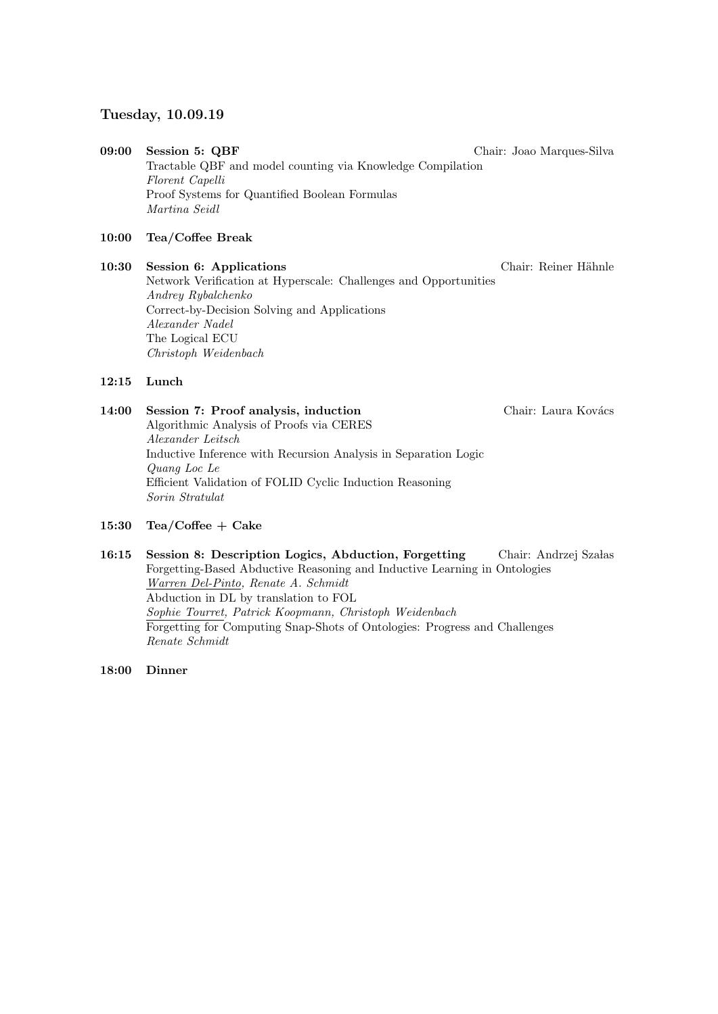## Tuesday, 10.09.19

09:00 Session 5: QBF Chair: Joao Marques-Silva Tractable QBF and model counting via Knowledge Compilation Florent Capelli Proof Systems for Quantified Boolean Formulas Martina Seidl

## 10:00 Tea/Coffee Break

10:30 Session 6: Applications Chair: Reiner Hähnle Network Verification at Hyperscale: Challenges and Opportunities Andrey Rybalchenko Correct-by-Decision Solving and Applications Alexander Nadel The Logical ECU Christoph Weidenbach

#### 12:15 Lunch

14:00 Session 7: Proof analysis, induction Chair: Laura Kovács Algorithmic Analysis of Proofs via CERES Alexander Leitsch Inductive Inference with Recursion Analysis in Separation Logic Quang Loc Le Efficient Validation of FOLID Cyclic Induction Reasoning Sorin Stratulat

#### 15:30 Tea/Coffee  $+$  Cake

16:15 Session 8: Description Logics, Abduction, Forgetting Chair: Andrzej Szałas Forgetting-Based Abductive Reasoning and Inductive Learning in Ontologies Warren Del-Pinto, Renate A. Schmidt Abduction in DL by translation to FOL Sophie Tourret, Patrick Koopmann, Christoph Weidenbach Forgetting for Computing Snap-Shots of Ontologies: Progress and Challenges Renate Schmidt

18:00 Dinner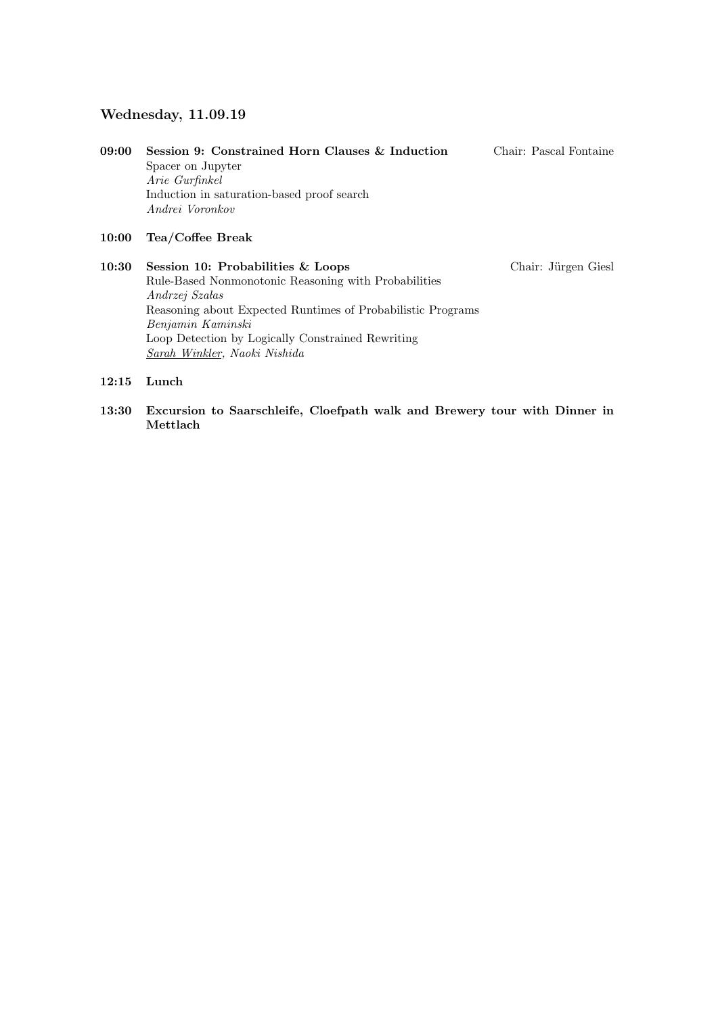## Wednesday, 11.09.19

| 09:00 | Session 9: Constrained Horn Clauses & Induction               | Chair: Pascal Fontaine |
|-------|---------------------------------------------------------------|------------------------|
|       | Spacer on Jupyter                                             |                        |
|       | Arie Gurfinkel                                                |                        |
|       | Induction in saturation-based proof search<br>Andrei Voronkov |                        |

## 10:00 Tea/Coffee Break

10:30 Session 10: Probabilities & Loops Chair: Jürgen Giesl Rule-Based Nonmonotonic Reasoning with Probabilities  $Andrzej$   $Szadas$ Reasoning about Expected Runtimes of Probabilistic Programs Benjamin Kaminski Loop Detection by Logically Constrained Rewriting Sarah Winkler, Naoki Nishida

#### 12:15 Lunch

13:30 Excursion to Saarschleife, Cloefpath walk and Brewery tour with Dinner in Mettlach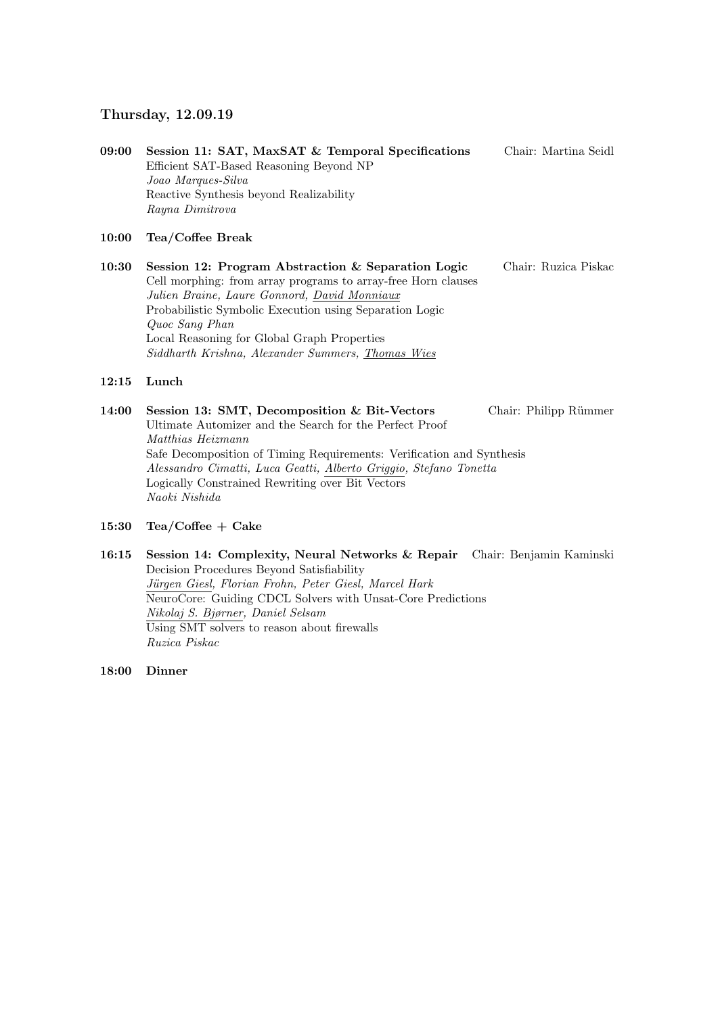## Thursday, 12.09.19

| 09:00 | Session 11: SAT, MaxSAT & Temporal Specifications | Chair: Martina Seidl |
|-------|---------------------------------------------------|----------------------|
|       | Efficient SAT-Based Reasoning Beyond NP           |                      |
|       | Joao Marques-Silva                                |                      |
|       | Reactive Synthesis beyond Realizability           |                      |
|       | Rayna Dimitrova                                   |                      |

#### 10:00 Tea/Coffee Break

10:30 Session 12: Program Abstraction & Separation Logic Chair: Ruzica Piskac Cell morphing: from array programs to array-free Horn clauses Julien Braine, Laure Gonnord, David Monniaux Probabilistic Symbolic Execution using Separation Logic Quoc Sang Phan Local Reasoning for Global Graph Properties Siddharth Krishna, Alexander Summers, Thomas Wies

#### 12:15 Lunch

14:00 Session 13: SMT, Decomposition & Bit-Vectors Chair: Philipp Rümmer Ultimate Automizer and the Search for the Perfect Proof Matthias Heizmann Safe Decomposition of Timing Requirements: Verification and Synthesis Alessandro Cimatti, Luca Geatti, Alberto Griggio, Stefano Tonetta Logically Constrained Rewriting over Bit Vectors Naoki Nishida

15:30 Tea/Coffee  $+$  Cake

16:15 Session 14: Complexity, Neural Networks & Repair Chair: Benjamin Kaminski Decision Procedures Beyond Satisfiability Jürgen Giesl, Florian Frohn, Peter Giesl, Marcel Hark NeuroCore: Guiding CDCL Solvers with Unsat-Core Predictions Nikolaj S. Bjørner, Daniel Selsam Using SMT solvers to reason about firewalls Ruzica Piskac

18:00 Dinner